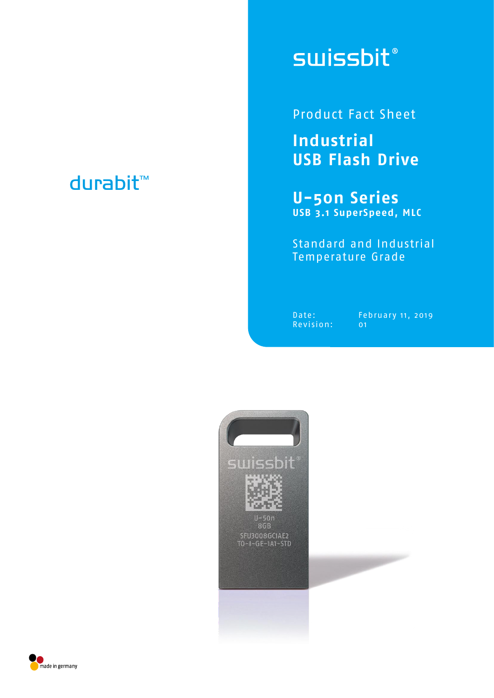## durabit™

# **swissbit**®

Product Fact Sheet

**Industrial USB Flash Drive**

**U-50n Series USB 3.1 SuperSpeed, MLC**

Standard and Industrial Temperature Grade

Revision: 01

Date: February 11, 2019



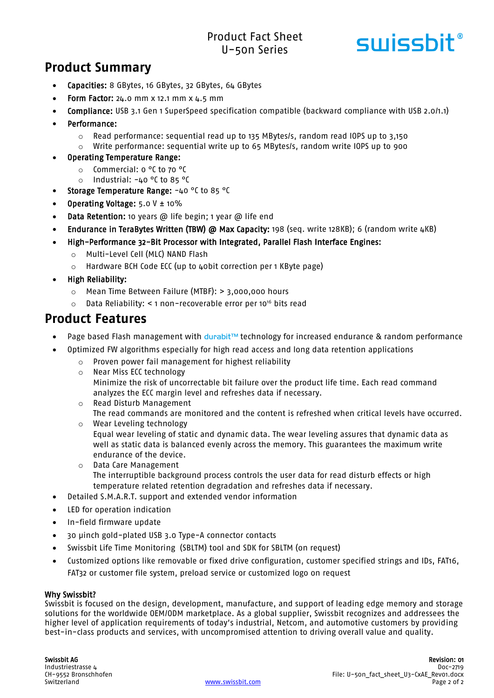### Product Fact Sheet U-50n Series



## **Product Summary**

- Capacities: 8 GBytes, 16 GBytes, 32 GBytes, 64 GBytes
- Form Factor:  $24.0$  mm x 12.1 mm x  $4.5$  mm
- Compliance: USB 3.1 Gen 1 SuperSpeed specification compatible (backward compliance with USB 2.0/1.1)
- Performance:
	- $\circ$  Read performance: sequential read up to 135 MBytes/s, random read IOPS up to 3,150
	- $\circ$  Write performance: sequential write up to 65 MBytes/s, random write IOPS up to 900

#### Operating Temperature Range:

- o Commercial: 0 °C to 70 °C
- o Industrial: -40 °C to 85 °C
- Storage Temperature Range: -40 °C to 85 °C
- Operating Voltage: 5.0 V ± 10%
- Data Retention: 10 years @ life begin; 1 year @ life end
- Endurance in TeraBytes Written (TBW) @ Max Capacity: 198 (seq. write 128KB); 6 (random write 4KB)
- High-Performance 32-Bit Processor with Integrated, Parallel Flash Interface Engines:
	- o Multi-Level Cell (MLC) NAND Flash
	- o Hardware BCH Code ECC (up to 40bit correction per 1 KByte page)
- High Reliability:
	- o Mean Time Between Failure (MTBF): > 3,000,000 hours
	- o Data Reliability: < 1 non-recoverable error per 10<sup>16</sup> bits read

### **Product Features**

- Page based Flash management with durabit™ technology for increased endurance & random performance
- Optimized FW algorithms especially for high read access and long data retention applications
	- o Proven power fail management for highest reliability
	- o Near Miss ECC technology Minimize the risk of uncorrectable bit failure over the product life time. Each read command analyzes the ECC margin level and refreshes data if necessary.
	- o Read Disturb Management The read commands are monitored and the content is refreshed when critical levels have occurred.
	- o Wear Leveling technology Equal wear leveling of static and dynamic data. The wear leveling assures that dynamic data as well as static data is balanced evenly across the memory. This guarantees the maximum write endurance of the device.
	- o Data Care Management The interruptible background process controls the user data for read disturb effects or high temperature related retention degradation and refreshes data if necessary.
- Detailed S.M.A.R.T. support and extended vendor information
- LED for operation indication
- In-field firmware update
- 30 µinch gold-plated USB 3.0 Type-A connector contacts
- Swissbit Life Time Monitoring (SBLTM) tool and SDK for SBLTM (on request)
- Customized options like removable or fixed drive configuration, customer specified strings and IDs, FAT16, FAT32 or customer file system, preload service or customized logo on request

#### Why Swissbit?

Swissbit is focused on the design, development, manufacture, and support of leading edge memory and storage solutions for the worldwide OEM/ODM marketplace. As a global supplier, Swissbit recognizes and addressees the higher level of application requirements of today's industrial, Netcom, and automotive customers by providing best-in-class products and services, with uncompromised attention to driving overall value and quality.